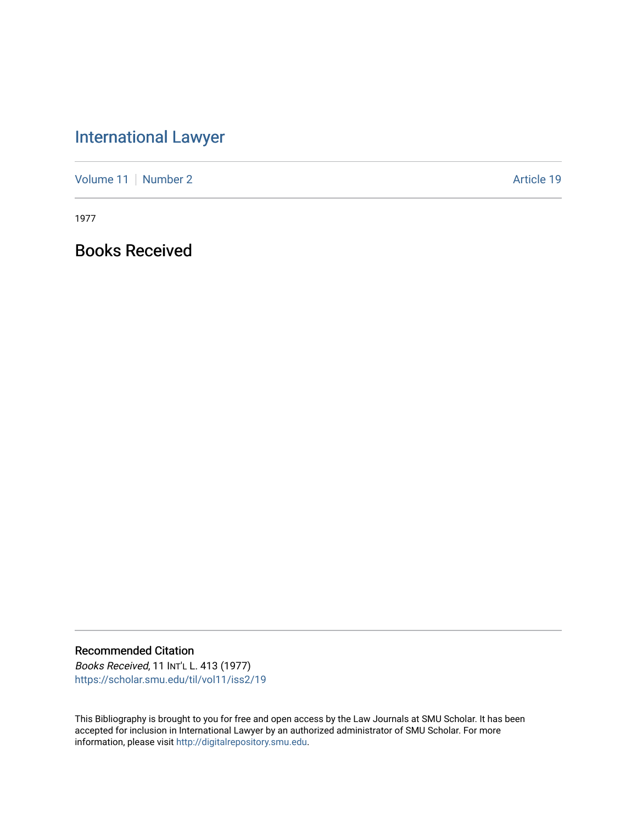## [International Lawyer](https://scholar.smu.edu/til)

[Volume 11](https://scholar.smu.edu/til/vol11) [Number 2](https://scholar.smu.edu/til/vol11/iss2) Article 19

1977

Books Received

Recommended Citation

Books Received, 11 INT'L L. 413 (1977) [https://scholar.smu.edu/til/vol11/iss2/19](https://scholar.smu.edu/til/vol11/iss2/19?utm_source=scholar.smu.edu%2Ftil%2Fvol11%2Fiss2%2F19&utm_medium=PDF&utm_campaign=PDFCoverPages)

This Bibliography is brought to you for free and open access by the Law Journals at SMU Scholar. It has been accepted for inclusion in International Lawyer by an authorized administrator of SMU Scholar. For more information, please visit [http://digitalrepository.smu.edu](http://digitalrepository.smu.edu/).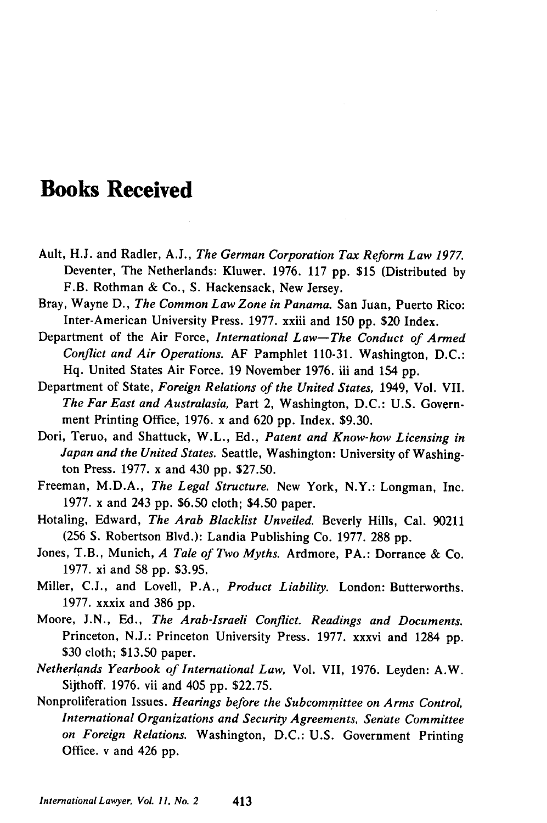## **Books Received**

- Ault, H.J. and Radler, A.J., *The German Corporation Tax Reform Law 1977.* Deventer, The Netherlands: Kluwer. 1976. 117 pp. **\$15** (Distributed by F.B. Rothman & Co., S. Hackensack, New Jersey.
- Bray, Wayne D., *The Common Law Zone in Panama.* San Juan, Puerto Rico: Inter-American University Press. 1977. xxiii and **150** pp. \$20 Index.
- Department of the Air Force, *International Law-The Conduct of Armed Conflict and Air Operations.* AF Pamphlet 110-31. Washington, D.C.: Hq. United States Air Force. 19 November 1976. iii and 154 pp.
- Department of State, *Foreign Relations of the United States,* 1949, Vol. VII. *The Far East and Australasia,* Part 2, Washington, D.C.: U.S. Government Printing Office, 1976. x and 620 pp. Index. \$9.30.
- Dori, Teruo, and Shattuck, W.L., Ed., *Patent and Know-how Licensing in Japan and the United States.* Seattle, Washington: University of Washington Press. 1977. x and 430 pp. \$27.50.
- Freeman, M.D.A., *The Legal Structure.* New York, N.Y.: Longman, Inc. 1977. x and 243 pp. \$6.50 cloth; \$4.50 paper.
- Hotaling, Edward, *The Arab Blacklist Unveiled.* Beverly Hills, Cal. 90211 (256 **S.** Robertson Blvd.): Landia Publishing Co. 1977. 288 pp.
- Jones, T.B., Munich, *A Tale of Two Myths.* Ardmore, PA.: Dorrance & Co. 1977. xi and **58** pp. \$3.95.
- Miller, C.J., and Lovell, P.A., *Product Liability.* London: Butterworths. 1977. xxxix and 386 pp.
- Moore, J.N., Ed., *The Arab-Israeli Conflict. Readings and Documents.* Princeton, N.J.: Princeton University Press. 1977. xxxvi and 1284 pp. \$30 cloth; \$13.50 paper.
- *Netherlands Yearbook of International Law,* Vol. VII, 1976. Leyden: A.W. Sijthoff. 1976. vii and 405 pp. \$22.75.
- Nonproliferation Issues. *Hearings before the Subcommittee on Arms Control, International Organizations and Security Agreements, Senate Committee on Foreign Relations.* Washington, D.C.: U.S. Government Printing Office. v and 426 pp.